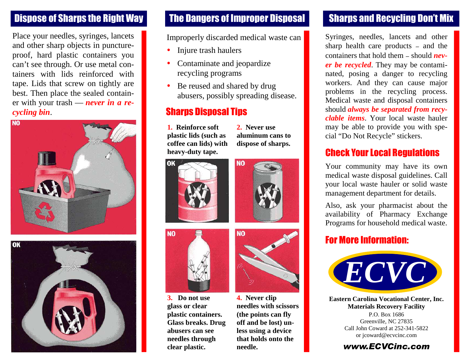Place your needles, syringes, lancets and other sharp objects in punctureproof, hard plastic containers you can't see through. Or use metal containers with lids reinforced with tape. Lids that screw on tightly are best. Then place the sealed container with your trash — *never in a recycling bin*.





### Dispose of Sharps the Right Way The Dangers of Improper Disposal

Improperly discarded medical waste can

- Injure trash haulers
- Contaminate and jeopardize recycling programs
- Be reused and shared by drug abusers, possibly spreading disease.

**NO** 

**2. Never use aluminum cans to dispose of sharps.**

## Sharps Disposal Tips

**1. Reinforce soft plastic lids (such as coffee can lids) with heavy-duty tape.**





**3. Do not use glass or clear plastic containers. Glass breaks. Drug abusers can see needles through clear plastic.**



**4. Never clip needles with scissors (the points can fly off and be lost) unless using a device that holds onto the needle.**

## Sharps and Recycling Don't Mix

Syringes, needles, lancets and other sharp health care products *–* and the containers that hold them *–* should *never be recycled*. They may be contaminated, posing a danger to recycling workers. And they can cause major problems in the recycling process. Medical waste and disposal containers should *always be separated from recyclable items*. Your local waste hauler may be able to provide you with special "Do Not Recycle" stickers.

### Check Your Local Regulations

Your community may have its own medical waste disposal guidelines. Call your local waste hauler or solid waste management department for details.

Also, ask your pharmacist about the availability of Pharmacy Exchange Programs for household medical waste.

#### For More Information:



**Eastern Carolina Vocational Center, Inc. Materials Recovery Facility** P.O. Box 1686 Greenville, NC 27835 Call John Coward at 252-341-5822 or jcoward@ecvcinc.com